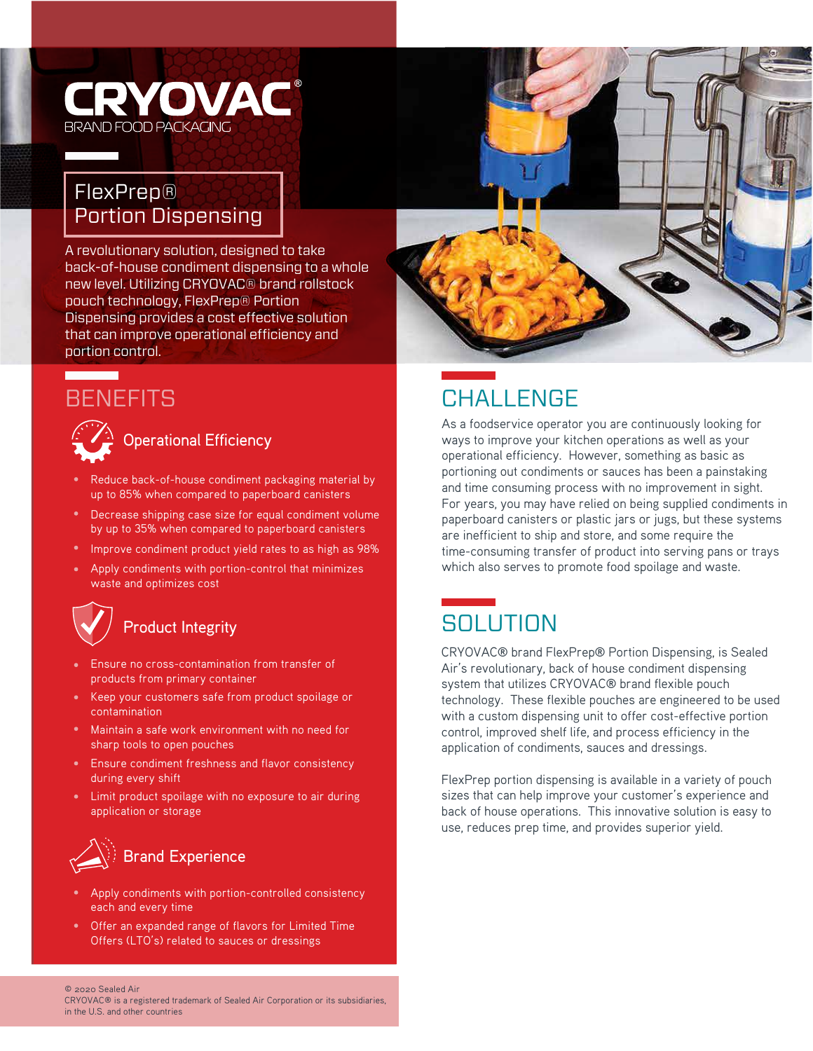## **ERYOVAC®** BRAND FOOD PACKAGING

### FlexPrep® Portion Dispensing

A revolutionary solution, designed to take back-of-house condiment dispensing to a whole new level. Utilizing CRYOVAC® brand rollstock pouch technology, FlexPrep® Portion Dispensing provides a cost effective solution that can improve operational efficiency and portion control.

## **BENEFITS**

<u> a shekara t</u>



- Reduce back-of-house condiment packaging material by up to 85% when compared to paperboard canisters
- Decrease shipping case size for equal condiment volume by up to 35% when compared to paperboard canisters
- Improve condiment product yield rates to as high as 98%
- Apply condiments with portion-control that minimizes waste and optimizes cost

# Product Integrity

- Ensure no cross-contamination from transfer of products from primary container
- Keep your customers safe from product spoilage or contamination
- Maintain a safe work environment with no need for sharp tools to open pouches
- Ensure condiment freshness and flavor consistency during every shift
- Limit product spoilage with no exposure to air during application or storage



- Apply condiments with portion-controlled consistency each and every time
- Offer an expanded range of flavors for Limited Time Offers (LTO's) related to sauces or dressings



## CHALL FNGF

As a foodservice operator you are continuously looking for ways to improve your kitchen operations as well as your operational efficiency. However, something as basic as portioning out condiments or sauces has been a painstaking and time consuming process with no improvement in sight. For years, you may have relied on being supplied condiments in paperboard canisters or plastic jars or jugs, but these systems are inefficient to ship and store, and some require the time-consuming transfer of product into serving pans or trays which also serves to promote food spoilage and waste.

## **SOLUTION**

CRYOVAC® brand FlexPrep® Portion Dispensing, is Sealed Air's revolutionary, back of house condiment dispensing system that utilizes CRYOVAC® brand flexible pouch technology. These flexible pouches are engineered to be used with a custom dispensing unit to offer cost-effective portion control, improved shelf life, and process efficiency in the application of condiments, sauces and dressings.

FlexPrep portion dispensing is available in a variety of pouch sizes that can help improve your customer's experience and back of house operations. This innovative solution is easy to use, reduces prep time, and provides superior yield.

#### © 2020 Sealed Air

CRYOVAC® is a registered trademark of Sealed Air Corporation or its subsidiaries, in the U.S. and other countries